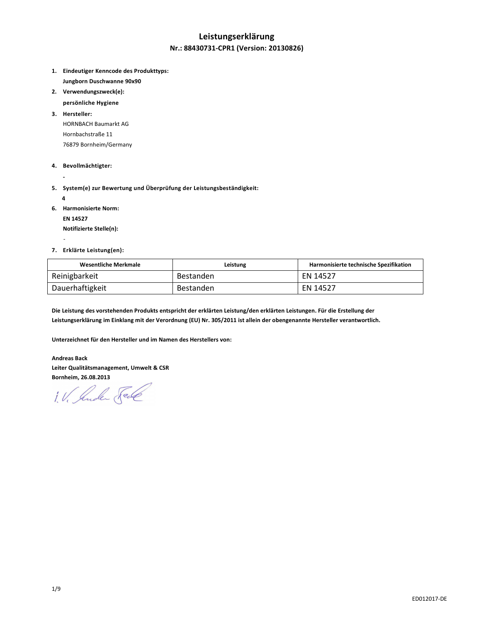# **Leistungserklärung**

### **Nr.: 88430731-CPR1 (Version: 20130826)**

- **1. Eindeutiger Kenncode des Produkttyps: Jungborn Duschwanne 90x90**
- **2. Verwendungszweck(e):** 
	- **persönliche Hygiene**
- **3. Hersteller:**  HORNBACH Baumarkt AG Hornbachstraße 11 76879 Bornheim/Germany
- **4. Bevollmächtigter:**
- **5. System(e) zur Bewertung und Überprüfung der Leistungsbeständigkeit:** 
	- **4**

-

 **-** 

- **6. Harmonisierte Norm:** 
	- **EN 14527**

 **Notifizierte Stelle(n):** 

**7. Erklärte Leistung(en):** 

| Wesentliche Merkmale | Leistung  | Harmonisierte technische Spezifikation |
|----------------------|-----------|----------------------------------------|
| Reinigbarkeit        | Bestanden | EN 14527                               |
| Dauerhaftigkeit      | Bestanden | EN 14527                               |

**Die Leistung des vorstehenden Produkts entspricht der erklärten Leistung/den erklärten Leistungen. Für die Erstellung der Leistungserklärung im Einklang mit der Verordnung (EU) Nr. 305/2011 ist allein der obengenannte Hersteller verantwortlich.** 

**Unterzeichnet für den Hersteller und im Namen des Herstellers von:** 

#### **Andreas Back**

**Leiter Qualitätsmanagement, Umwelt & CSR Bornheim, 26.08.2013** 

1. V. Suder Sel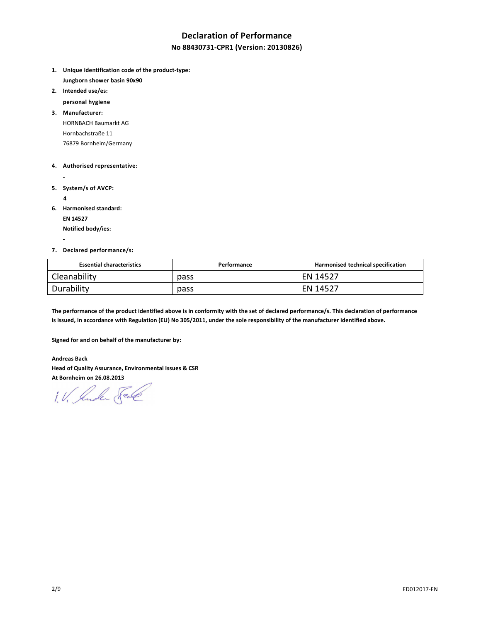# **Declaration of Performance**

### **No 88430731-CPR1 (Version: 20130826)**

- **1. Unique identification code of the product-type: Jungborn shower basin 90x90**
- **2. Intended use/es:**

 **personal hygiene** 

**3. Manufacturer:**  HORNBACH Baumarkt AG Hornbachstraße 11 76879 Bornheim/Germany

#### **4. Authorised representative:**

- 
- **5. System/s of AVCP:** 
	- **4**

 **-** 

**6. Harmonised standard:** 

 **EN 14527** 

 **Notified body/ies:** 

#### **7. Declared performance/s:**

| <b>Essential characteristics</b> | Performance | Harmonised technical specification |
|----------------------------------|-------------|------------------------------------|
| Cleanability                     | pass        | EN 14527                           |
| Durability                       | pass        | EN 14527                           |

**The performance of the product identified above is in conformity with the set of declared performance/s. This declaration of performance is issued, in accordance with Regulation (EU) No 305/2011, under the sole responsibility of the manufacturer identified above.** 

**Signed for and on behalf of the manufacturer by:** 

**Andreas Back Head of Quality Assurance, Environmental Issues & CSR At Bornheim on 26.08.2013** 

1. V. Suder Sele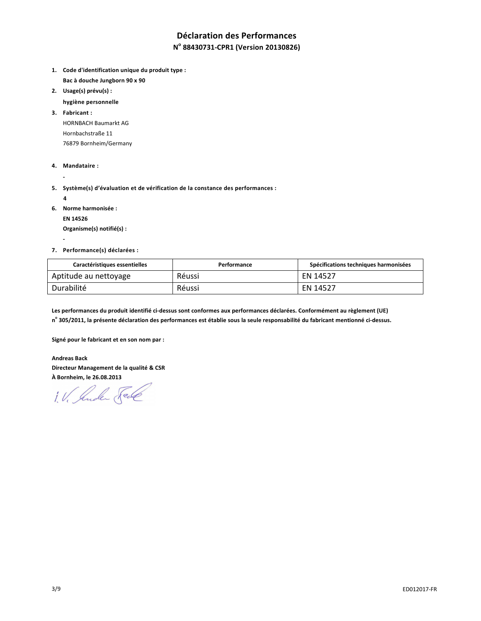# **Déclaration des Performances**

# **N o 88430731-CPR1 (Version 20130826)**

- **1. Code d'identification unique du produit type : Bac à douche Jungborn 90 x 90**
- **2. Usage(s) prévu(s) :** 
	- **hygiène personnelle**

**3. Fabricant :**  HORNBACH Baumarkt AG Hornbachstraße 11 76879 Bornheim/Germany

- **4. Mandataire :**
- **5. Système(s) d'évaluation et de vérification de la constance des performances :** 
	- **4**

 **-** 

 **-** 

**6. Norme harmonisée :** 

 **EN 14526** 

 **Organisme(s) notifié(s) :** 

#### **7. Performance(s) déclarées :**

| <b>Caractéristiques essentielles</b> | Performance | Spécifications techniques harmonisées |
|--------------------------------------|-------------|---------------------------------------|
| Aptitude au nettoyage                | Réussi      | EN 14527                              |
| Durabilité                           | Réussi      | EN 14527                              |

**Les performances du produit identifié ci-dessus sont conformes aux performances déclarées. Conformément au règlement (UE) n o 305/2011, la présente déclaration des performances est établie sous la seule responsabilité du fabricant mentionné ci-dessus.** 

**Signé pour le fabricant et en son nom par :** 

**Andreas Back Directeur Management de la qualité & CSR À Bornheim, le 26.08.2013** 

1. V. Suder Fall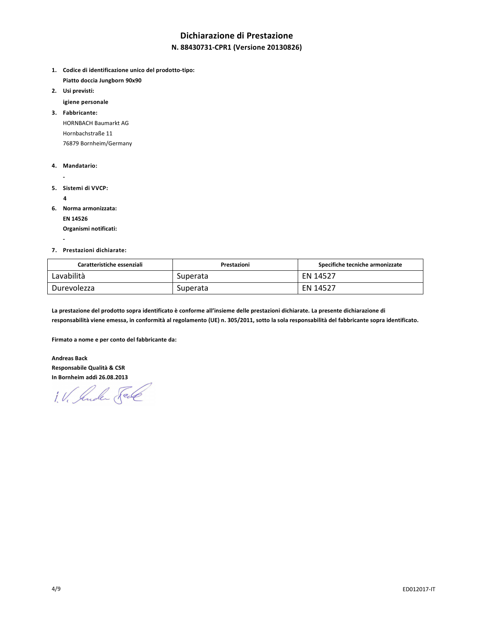# **Dichiarazione di Prestazione**

### **N. 88430731-CPR1 (Versione 20130826)**

- **1. Codice di identificazione unico del prodotto-tipo: Piatto doccia Jungborn 90x90**
- **2. Usi previsti:** 
	- **igiene personale**

**3. Fabbricante:**  HORNBACH Baumarkt AG Hornbachstraße 11 76879 Bornheim/Germany

- **4. Mandatario:**
- 
- **5. Sistemi di VVCP:** 
	- **4**

 **-** 

- **6. Norma armonizzata:** 
	- **EN 14526**

 **Organismi notificati:** 

#### **7. Prestazioni dichiarate:**

| Caratteristiche essenziali | Prestazioni | Specifiche tecniche armonizzate |
|----------------------------|-------------|---------------------------------|
| Lavabilità                 | Superata    | EN 14527                        |
| Durevolezza                | Superata    | EN 14527                        |

**La prestazione del prodotto sopra identificato è conforme all'insieme delle prestazioni dichiarate. La presente dichiarazione di responsabilità viene emessa, in conformità al regolamento (UE) n. 305/2011, sotto la sola responsabilità del fabbricante sopra identificato.** 

**Firmato a nome e per conto del fabbricante da:** 

**Andreas Back Responsabile Qualità & CSR In Bornheim addì 26.08.2013** 

1. V. Suder Sede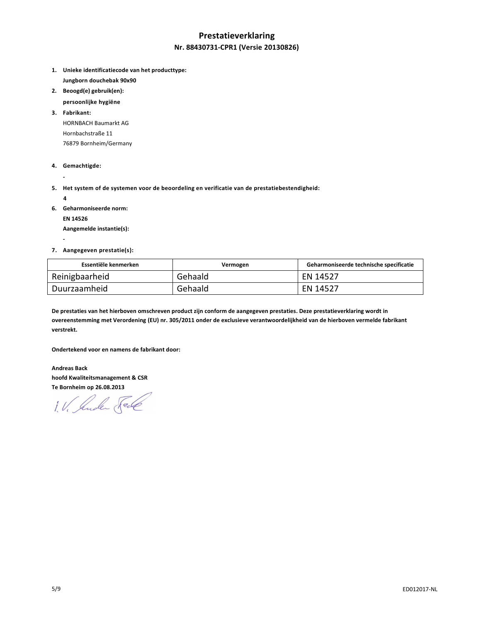# **Prestatieverklaring Nr. 88430731-CPR1 (Versie 20130826)**

- **1. Unieke identificatiecode van het producttype: Jungborn douchebak 90x90**
- **2. Beoogd(e) gebruik(en):**
- **persoonlijke hygiëne**

**3. Fabrikant:**  HORNBACH Baumarkt AG Hornbachstraße 11 76879 Bornheim/Germany

- **4. Gemachtigde:**
- **5. Het system of de systemen voor de beoordeling en verificatie van de prestatiebestendigheid:** 
	- **4**

 **-** 

 **-** 

**6. Geharmoniseerde norm:** 

 **EN 14526** 

 **Aangemelde instantie(s):** 

#### **7. Aangegeven prestatie(s):**

| Essentiële kenmerken | Vermogen | Geharmoniseerde technische specificatie |
|----------------------|----------|-----------------------------------------|
| Reinigbaarheid       | Gehaald  | EN 14527                                |
| Duurzaamheid         | Gehaald  | EN 14527                                |

**De prestaties van het hierboven omschreven product zijn conform de aangegeven prestaties. Deze prestatieverklaring wordt in overeenstemming met Verordening (EU) nr. 305/2011 onder de exclusieve verantwoordelijkheid van de hierboven vermelde fabrikant verstrekt.** 

**Ondertekend voor en namens de fabrikant door:** 

**Andreas Back hoofd Kwaliteitsmanagement & CSR Te Bornheim op 26.08.2013** 

1. V. Suder Fele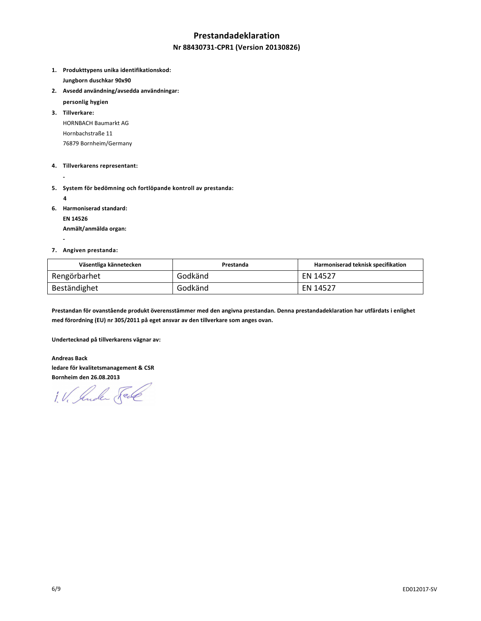## **Prestandadeklaration**

### **Nr 88430731-CPR1 (Version 20130826)**

- **1. Produkttypens unika identifikationskod: Jungborn duschkar 90x90**
- **2. Avsedd användning/avsedda användningar:** 
	- **personlig hygien**
- **3. Tillverkare:**  HORNBACH Baumarkt AG Hornbachstraße 11 76879 Bornheim/Germany
- **4. Tillverkarens representant:**
- 
- **5. System för bedömning och fortlöpande kontroll av prestanda:** 
	- **4**

 **-** 

**6. Harmoniserad standard:** 

 **EN 14526** 

 **Anmält/anmälda organ:** 

#### **7. Angiven prestanda:**

| Väsentliga kännetecken | Prestanda | Harmoniserad teknisk specifikation |
|------------------------|-----------|------------------------------------|
| Rengörbarhet           | Godkänd   | EN 14527                           |
| Beständighet           | Godkänd   | EN 14527                           |

**Prestandan för ovanstående produkt överensstämmer med den angivna prestandan. Denna prestandadeklaration har utfärdats i enlighet med förordning (EU) nr 305/2011 på eget ansvar av den tillverkare som anges ovan.** 

**Undertecknad på tillverkarens vägnar av:** 

**Andreas Back ledare för kvalitetsmanagement & CSR Bornheim den 26.08.2013** 

1. V. Suder Sel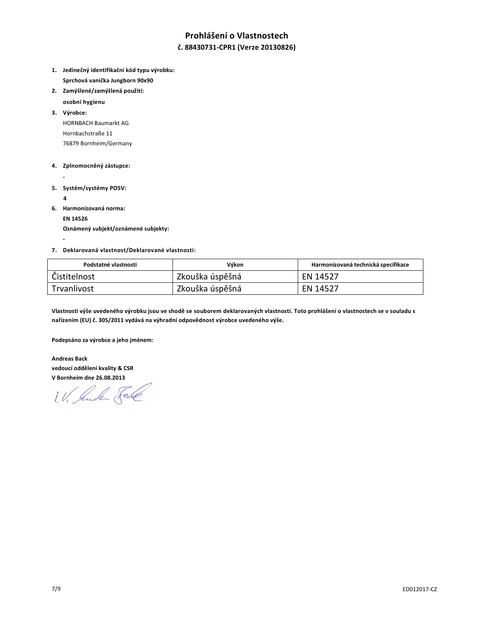# **Prohlášení o Vlastnostech**

### **č. 88430731-CPR1 (Verze 20130826)**

- **1. Jedinečný identifikační kód typu výrobku: Sprchová vanička Jungborn 90x90**
- **2. Zamýšlené/zamýšlená použití:**
- **osobní hygienu**

**3. Výrobce:**  HORNBACH Baumarkt AG Hornbachstraße 11 76879 Bornheim/Germany

- **4. Zplnomocněný zástupce:**
- 
- **5. Systém/systémy POSV:** 
	- **4**

 **-** 

**6. Harmonizovaná norma:** 

 **EN 14526** 

 **Oznámený subjekt/oznámené subjekty:** 

#### **7. Deklarovaná vlastnost/Deklarované vlastnosti:**

| Podstatné vlastnosti | Výkon           | Harmonizovaná technická specifikace |
|----------------------|-----------------|-------------------------------------|
| Čistitelnost         | Zkouška úspěšná | EN 14527                            |
| Trvanlivost          | Zkouška úspěšná | EN 14527                            |

**Vlastnosti výše uvedeného výrobku jsou ve shodě se souborem deklarovaných vlastností. Toto prohlášení o vlastnostech se v souladu s nařízením (EU) č. 305/2011 vydává na výhradní odpovědnost výrobce uvedeného výše.** 

**Podepsáno za výrobce a jeho jménem:** 

**Andreas Back vedoucí oddělení kvality & CSR V Bornheim dne 26.08.2013** 

1. V. Suder Sel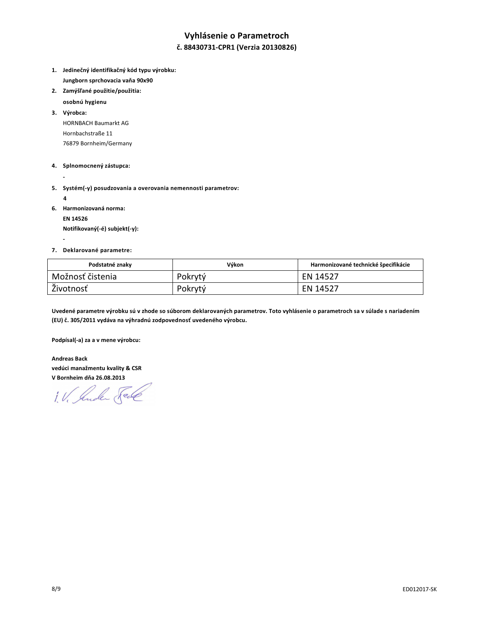# **Vyhlásenie o Parametroch**

### **č. 88430731-CPR1 (Verzia 20130826)**

- **1. Jedinečný identifikačný kód typu výrobku: Jungborn sprchovacia vaňa 90x90**
- **2. Zamýšľané použitie/použitia:** 
	- **osobnú hygienu**
- **3. Výrobca:**  HORNBACH Baumarkt AG Hornbachstraße 11 76879 Bornheim/Germany
- **4. Splnomocnený zástupca:**
- **5. Systém(-y) posudzovania a overovania nemennosti parametrov:** 
	- **4**

 **-** 

 **-** 

**6. Harmonizovaná norma:** 

 **EN 14526 Notifikovaný(-é) subjekt(-y):** 

#### **7. Deklarované parametre:**

| Podstatné znaky  | Výkon   | Harmonizované technické špecifikácie |
|------------------|---------|--------------------------------------|
| Možnosť čistenia | Pokrytý | EN 14527                             |
| Životnosť        | Pokrytý | EN 14527                             |

**Uvedené parametre výrobku sú v zhode so súborom deklarovaných parametrov. Toto vyhlásenie o parametroch sa v súlade s nariadením (EU) č. 305/2011 vydáva na výhradnú zodpovednosť uvedeného výrobcu.** 

**Podpísal(-a) za a v mene výrobcu:** 

**Andreas Back vedúci manažmentu kvality & CSR V Bornheim dňa 26.08.2013** 

1. V. Sender Seil